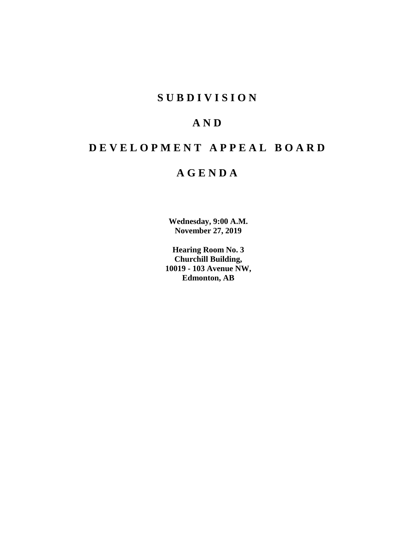# **S U B D I V I S I O N**

# **A N D**

# **D E V E L O P M E N T A P P E A L B O A R D**

# **A G E N D A**

**Wednesday, 9:00 A.M. November 27, 2019**

**Hearing Room No. 3 Churchill Building, 10019 - 103 Avenue NW, Edmonton, AB**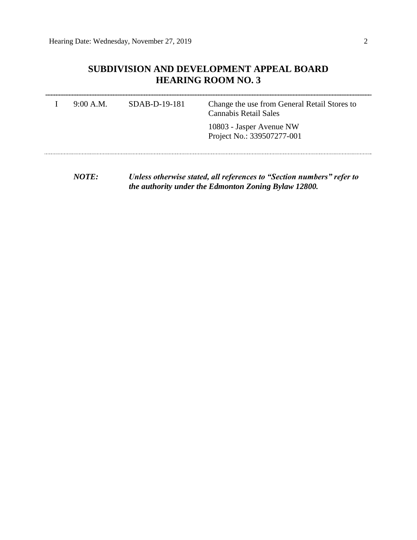# **SUBDIVISION AND DEVELOPMENT APPEAL BOARD HEARING ROOM NO. 3**

| 9:00 A.M. | $SDAB-D-19-181$ | Change the use from General Retail Stores to<br><b>Cannabis Retail Sales</b> |
|-----------|-----------------|------------------------------------------------------------------------------|
|           |                 | 10803 - Jasper Avenue NW<br>Project No.: 339507277-001                       |
|           |                 | Unless otherwise stated, all references to "Section numbers" refer to        |

*NOTE: Unless otherwise stated, all references to "Section numbers" refer to the authority under the Edmonton Zoning Bylaw 12800.*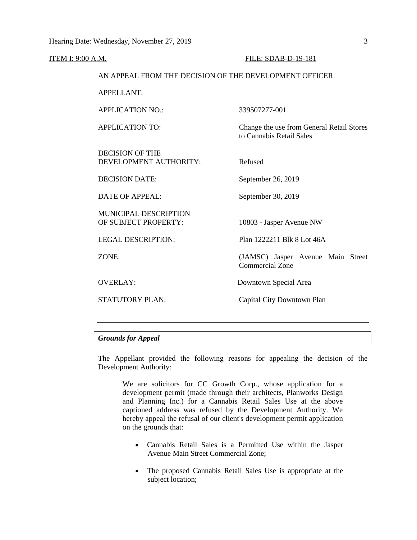#### ITEM I: 9:00 A.M. FILE: SDAB-D-19-181

#### AN APPEAL FROM THE DECISION OF THE DEVELOPMENT OFFICER

APPELLANT:

| <b>APPLICATION NO.:</b>                              | 339507277-001                                                         |  |  |  |  |  |
|------------------------------------------------------|-----------------------------------------------------------------------|--|--|--|--|--|
| <b>APPLICATION TO:</b>                               | Change the use from General Retail Stores<br>to Cannabis Retail Sales |  |  |  |  |  |
| DECISION OF THE<br>DEVELOPMENT AUTHORITY:            | Refused                                                               |  |  |  |  |  |
| <b>DECISION DATE:</b>                                | September 26, 2019                                                    |  |  |  |  |  |
| <b>DATE OF APPEAL:</b>                               | September 30, 2019                                                    |  |  |  |  |  |
| <b>MUNICIPAL DESCRIPTION</b><br>OF SUBJECT PROPERTY: | 10803 - Jasper Avenue NW                                              |  |  |  |  |  |
| <b>LEGAL DESCRIPTION:</b>                            | Plan 1222211 Blk 8 Lot 46A                                            |  |  |  |  |  |
| ZONE:                                                | (JAMSC) Jasper Avenue Main Street<br><b>Commercial Zone</b>           |  |  |  |  |  |
| <b>OVERLAY:</b>                                      | Downtown Special Area                                                 |  |  |  |  |  |
| <b>STATUTORY PLAN:</b>                               | Capital City Downtown Plan                                            |  |  |  |  |  |
|                                                      |                                                                       |  |  |  |  |  |

# *Grounds for Appeal*

The Appellant provided the following reasons for appealing the decision of the Development Authority:

We are solicitors for CC Growth Corp., whose application for a development permit (made through their architects, Planworks Design and Planning Inc.) for a Cannabis Retail Sales Use at the above captioned address was refused by the Development Authority. We hereby appeal the refusal of our client's development permit application on the grounds that:

- Cannabis Retail Sales is a Permitted Use within the Jasper Avenue Main Street Commercial Zone;
- The proposed Cannabis Retail Sales Use is appropriate at the subject location;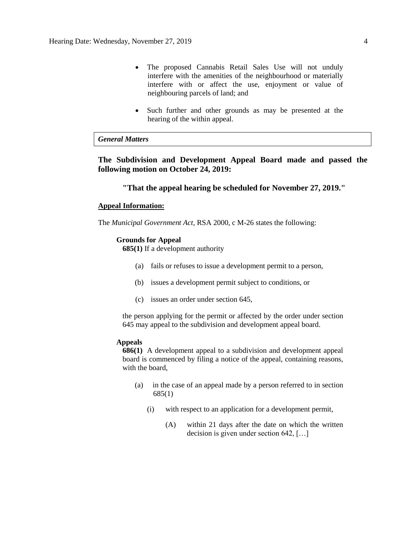- The proposed Cannabis Retail Sales Use will not unduly interfere with the amenities of the neighbourhood or materially interfere with or affect the use, enjoyment or value of neighbouring parcels of land; and
- Such further and other grounds as may be presented at the hearing of the within appeal.

# *General Matters*

**The Subdivision and Development Appeal Board made and passed the following motion on October 24, 2019:** 

### **"That the appeal hearing be scheduled for November 27, 2019."**

#### **Appeal Information:**

The *Municipal Government Act*, RSA 2000, c M-26 states the following:

### **Grounds for Appeal**

**685(1)** If a development authority

- (a) fails or refuses to issue a development permit to a person,
- (b) issues a development permit subject to conditions, or
- (c) issues an order under section 645,

the person applying for the permit or affected by the order under section 645 may appeal to the subdivision and development appeal board.

# **Appeals**

**686(1)** A development appeal to a subdivision and development appeal board is commenced by filing a notice of the appeal, containing reasons, with the board,

- (a) in the case of an appeal made by a person referred to in section 685(1)
	- (i) with respect to an application for a development permit,
		- (A) within 21 days after the date on which the written decision is given under section 642, […]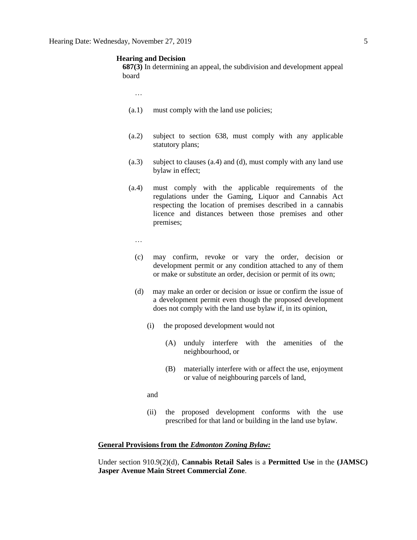#### **Hearing and Decision**

**687(3)** In determining an appeal, the subdivision and development appeal board

…

- (a.1) must comply with the land use policies;
- (a.2) subject to section 638, must comply with any applicable statutory plans;
- (a.3) subject to clauses (a.4) and (d), must comply with any land use bylaw in effect;
- (a.4) must comply with the applicable requirements of the regulations under the Gaming, Liquor and Cannabis Act respecting the location of premises described in a cannabis licence and distances between those premises and other premises;
	- …
	- (c) may confirm, revoke or vary the order, decision or development permit or any condition attached to any of them or make or substitute an order, decision or permit of its own;
	- (d) may make an order or decision or issue or confirm the issue of a development permit even though the proposed development does not comply with the land use bylaw if, in its opinion,
		- (i) the proposed development would not
			- (A) unduly interfere with the amenities of the neighbourhood, or
			- (B) materially interfere with or affect the use, enjoyment or value of neighbouring parcels of land,
		- and
		- (ii) the proposed development conforms with the use prescribed for that land or building in the land use bylaw.

#### **General Provisions from the** *Edmonton Zoning Bylaw:*

Under section 910.9(2)(d), **Cannabis Retail Sales** is a **Permitted Use** in the **(JAMSC) Jasper Avenue Main Street Commercial Zone**.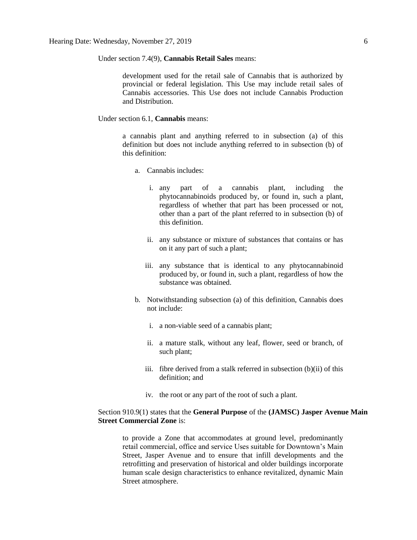Under section 7.4(9), **Cannabis Retail Sales** means:

development used for the retail sale of Cannabis that is authorized by provincial or federal legislation. This Use may include retail sales of Cannabis accessories. This Use does not include Cannabis Production and Distribution.

Under section 6.1, **Cannabis** means:

a cannabis plant and anything referred to in subsection (a) of this definition but does not include anything referred to in subsection (b) of this definition:

- a. Cannabis includes:
	- i. any part of a cannabis plant, including the phytocannabinoids produced by, or found in, such a plant, regardless of whether that part has been processed or not, other than a part of the plant referred to in subsection (b) of this definition.
	- ii. any substance or mixture of substances that contains or has on it any part of such a plant;
	- iii. any substance that is identical to any phytocannabinoid produced by, or found in, such a plant, regardless of how the substance was obtained.
- b. Notwithstanding subsection (a) of this definition, Cannabis does not include:
	- i. a non-viable seed of a cannabis plant;
	- ii. a mature stalk, without any leaf, flower, seed or branch, of such plant;
	- iii. fibre derived from a stalk referred in subsection (b)(ii) of this definition; and
	- iv. the root or any part of the root of such a plant.

### Section 910.9(1) states that the **General Purpose** of the **(JAMSC) Jasper Avenue Main Street Commercial Zone** is:

to provide a Zone that accommodates at ground level, predominantly retail commercial, office and service Uses suitable for Downtown's Main Street, Jasper Avenue and to ensure that infill developments and the retrofitting and preservation of historical and older buildings incorporate human scale design characteristics to enhance revitalized, dynamic Main Street atmosphere.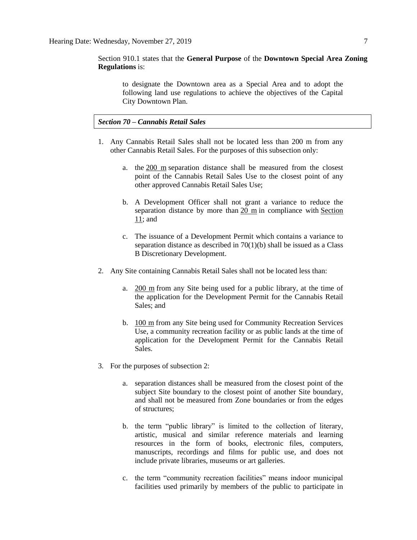# Section 910.1 states that the **General Purpose** of the **Downtown Special Area Zoning Regulations** is:

to designate the Downtown area as a Special Area and to adopt the following land use regulations to achieve the objectives of the Capital City Downtown Plan.

# *Section 70 – Cannabis Retail Sales*

- 1. Any Cannabis Retail Sales shall not be located less than 200 m from any other Cannabis Retail Sales. For the purposes of this subsection only:
	- a. the [200 m](javascript:void(0);) separation distance shall be measured from the closest point of the Cannabis Retail Sales Use to the closest point of any other approved Cannabis Retail Sales Use;
	- b. A Development Officer shall not grant a variance to reduce the separation distance by more than [20 m](javascript:void(0);) in compliance with [Section](https://webdocs.edmonton.ca/InfraPlan/zoningbylaw/ZoningBylaw/Part1/Administrative/11__Authority_and_Responsibility_of_the_Development_Officer.htm)  [11;](https://webdocs.edmonton.ca/InfraPlan/zoningbylaw/ZoningBylaw/Part1/Administrative/11__Authority_and_Responsibility_of_the_Development_Officer.htm) and
	- c. The issuance of a Development Permit which contains a variance to separation distance as described in  $70(1)(b)$  shall be issued as a Class B Discretionary Development.
- 2. Any Site containing Cannabis Retail Sales shall not be located less than:
	- a.  $200 \text{ m}$  from any Site being used for a public library, at the time of the application for the Development Permit for the Cannabis Retail Sales; and
	- b. [100 m](javascript:void(0);) from any Site being used for Community Recreation Services Use, a community recreation facility or as public lands at the time of application for the Development Permit for the Cannabis Retail Sales.
- 3. For the purposes of subsection 2:
	- a. separation distances shall be measured from the closest point of the subject Site boundary to the closest point of another Site boundary, and shall not be measured from Zone boundaries or from the edges of structures;
	- b. the term "public library" is limited to the collection of literary, artistic, musical and similar reference materials and learning resources in the form of books, electronic files, computers, manuscripts, recordings and films for public use, and does not include private libraries, museums or art galleries.
	- c. the term "community recreation facilities" means indoor municipal facilities used primarily by members of the public to participate in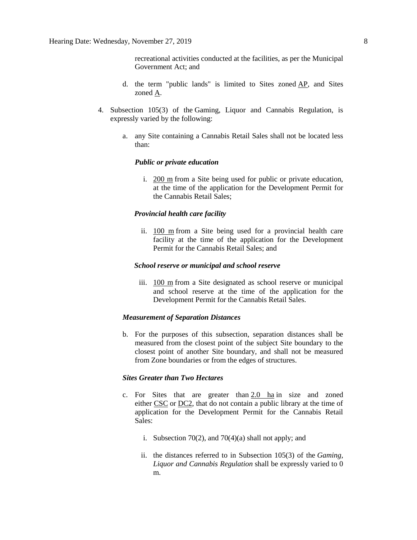recreational activities conducted at the facilities, as per the Municipal Government Act; and

- d. the term "public lands" is limited to Sites zoned [AP,](https://webdocs.edmonton.ca/InfraPlan/zoningbylaw/ZoningBylaw/Part2/Urban/530_(AP)_Public_Parks_Zone.htm) and Sites zoned [A.](https://webdocs.edmonton.ca/InfraPlan/zoningbylaw/ZoningBylaw/Part2/Urban/540_(A)_Metropolitan_Recreation_Zone.htm)
- 4. Subsection 105(3) of the Gaming, Liquor and Cannabis Regulation, is expressly varied by the following:
	- a. any Site containing a Cannabis Retail Sales shall not be located less than:

#### *Public or private education*

i. [200 m](javascript:void(0);) from a Site being used for public or private education, at the time of the application for the Development Permit for the Cannabis Retail Sales;

### *Provincial health care facility*

ii. [100 m](javascript:void(0);) from a Site being used for a provincial health care facility at the time of the application for the Development Permit for the Cannabis Retail Sales; and

### *School reserve or municipal and school reserve*

iii. [100 m](javascript:void(0);) from a Site designated as school reserve or municipal and school reserve at the time of the application for the Development Permit for the Cannabis Retail Sales.

#### *Measurement of Separation Distances*

b. For the purposes of this subsection, separation distances shall be measured from the closest point of the subject Site boundary to the closest point of another Site boundary, and shall not be measured from Zone boundaries or from the edges of structures.

# *Sites Greater than Two Hectares*

- c. For Sites that are greater than  $2.0$  ha in size and zoned either [CSC](https://webdocs.edmonton.ca/InfraPlan/zoningbylaw/ZoningBylaw/Part2/Commercial/320_(CSC)_Shopping_Centre_Zone.htm) or [DC2,](https://webdocs.edmonton.ca/InfraPlan/zoningbylaw/ZoningBylaw/Part2/Direct/720_(DC2)_Site_Specific_Development_Control_Provision.htm) that do not contain a public library at the time of application for the Development Permit for the Cannabis Retail Sales:
	- i. Subsection 70(2), and 70(4)(a) shall not apply; and
	- ii. the distances referred to in Subsection 105(3) of the *Gaming, Liquor and Cannabis Regulation* shall be expressly varied to 0 m.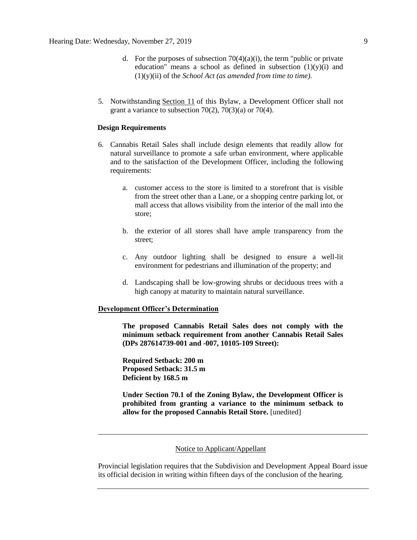- d. For the purposes of subsection  $70(4)(a)(i)$ , the term "public or private" education" means a school as defined in subsection  $(1)(y)(i)$  and (1)(y)(ii) of the *School Act (as amended from time to time).*
- 5. Notwithstanding [Section 11](https://webdocs.edmonton.ca/InfraPlan/zoningbylaw/ZoningBylaw/Part1/Administrative/11__Authority_and_Responsibility_of_the_Development_Officer.htm) of this Bylaw, a Development Officer shall not grant a variance to subsection  $70(2)$ ,  $70(3)(a)$  or  $70(4)$ .

### **Design Requirements**

- 6. Cannabis Retail Sales shall include design elements that readily allow for natural surveillance to promote a safe urban environment, where applicable and to the satisfaction of the Development Officer, including the following requirements:
	- a. customer access to the store is limited to a storefront that is visible from the street other than a Lane, or a shopping centre parking lot, or mall access that allows visibility from the interior of the mall into the store;
	- b. the exterior of all stores shall have ample transparency from the street;
	- c. Any outdoor lighting shall be designed to ensure a well-lit environment for pedestrians and illumination of the property; and
	- d. Landscaping shall be low-growing shrubs or deciduous trees with a high canopy at maturity to maintain natural surveillance.

#### **Development Officer's Determination**

**The proposed Cannabis Retail Sales does not comply with the minimum setback requirement from another Cannabis Retail Sales (DPs 287614739-001 and -007, 10105-109 Street):** 

**Required Setback: 200 m Proposed Setback: 31.5 m Deficient by 168.5 m**

**Under Section 70.1 of the Zoning Bylaw, the Development Officer is prohibited from granting a variance to the minimum setback to allow for the proposed Cannabis Retail Store.** [unedited]

#### Notice to Applicant/Appellant

Provincial legislation requires that the Subdivision and Development Appeal Board issue its official decision in writing within fifteen days of the conclusion of the hearing.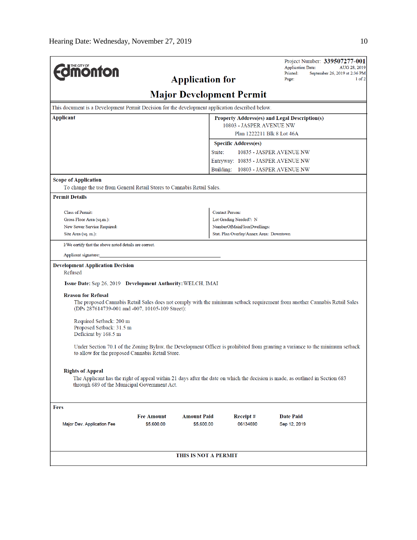|                                                                                                                                                                               |                           |                        |                                                           | <b>Application Date:</b>                              | Project Number: 339507277-001<br>AUG 28, 2019 |  |  |  |  |  |  |
|-------------------------------------------------------------------------------------------------------------------------------------------------------------------------------|---------------------------|------------------------|-----------------------------------------------------------|-------------------------------------------------------|-----------------------------------------------|--|--|--|--|--|--|
| <b>MOnton</b>                                                                                                                                                                 |                           |                        |                                                           | Printed:<br>Page:                                     | September 26, 2019 at 2:36 PM<br>1 of 2       |  |  |  |  |  |  |
|                                                                                                                                                                               |                           | <b>Application for</b> |                                                           |                                                       |                                               |  |  |  |  |  |  |
| <b>Major Development Permit</b>                                                                                                                                               |                           |                        |                                                           |                                                       |                                               |  |  |  |  |  |  |
| This document is a Development Permit Decision for the development application described below.                                                                               |                           |                        |                                                           |                                                       |                                               |  |  |  |  |  |  |
| <b>Applicant</b><br><b>Property Address(es) and Legal Description(s)</b>                                                                                                      |                           |                        |                                                           |                                                       |                                               |  |  |  |  |  |  |
|                                                                                                                                                                               |                           |                        | 10803 - JASPER AVENUE NW                                  |                                                       |                                               |  |  |  |  |  |  |
|                                                                                                                                                                               |                           |                        | Plan 1222211 Blk 8 Lot 46A<br><b>Specific Address(es)</b> |                                                       |                                               |  |  |  |  |  |  |
|                                                                                                                                                                               |                           | Suite:                 |                                                           | 10835 - JASPER AVENUE NW                              |                                               |  |  |  |  |  |  |
|                                                                                                                                                                               |                           |                        | Entryway: 10835 - JASPER AVENUE NW                        |                                                       |                                               |  |  |  |  |  |  |
|                                                                                                                                                                               |                           |                        | Building: 10803 - JASPER AVENUE NW                        |                                                       |                                               |  |  |  |  |  |  |
| <b>Scope of Application</b>                                                                                                                                                   |                           |                        |                                                           |                                                       |                                               |  |  |  |  |  |  |
| To change the use from General Retail Stores to Cannabis Retail Sales.                                                                                                        |                           |                        |                                                           |                                                       |                                               |  |  |  |  |  |  |
| <b>Permit Details</b>                                                                                                                                                         |                           |                        |                                                           |                                                       |                                               |  |  |  |  |  |  |
|                                                                                                                                                                               |                           |                        |                                                           |                                                       |                                               |  |  |  |  |  |  |
| Class of Permit:                                                                                                                                                              |                           |                        | <b>Contact Person:</b>                                    |                                                       |                                               |  |  |  |  |  |  |
| New Sewer Service Required:                                                                                                                                                   | Gross Floor Area (sq.m.): |                        |                                                           | Lot Grading Needed?: N<br>NumberOfMainFloorDwellings: |                                               |  |  |  |  |  |  |
| Site Area (sq. m.):                                                                                                                                                           |                           |                        | Stat. Plan Overlay/Annex Area: Downtown                   |                                                       |                                               |  |  |  |  |  |  |
| I/We certify that the above noted details are correct.                                                                                                                        |                           |                        |                                                           |                                                       |                                               |  |  |  |  |  |  |
| Applicant signature:                                                                                                                                                          |                           |                        |                                                           |                                                       |                                               |  |  |  |  |  |  |
| <b>Development Application Decision</b>                                                                                                                                       |                           |                        |                                                           |                                                       |                                               |  |  |  |  |  |  |
| Refused                                                                                                                                                                       |                           |                        |                                                           |                                                       |                                               |  |  |  |  |  |  |
| Issue Date: Sep 26, 2019 Development Authority: WELCH, IMAI                                                                                                                   |                           |                        |                                                           |                                                       |                                               |  |  |  |  |  |  |
| <b>Reason for Refusal</b>                                                                                                                                                     |                           |                        |                                                           |                                                       |                                               |  |  |  |  |  |  |
| The proposed Cannabis Retail Sales does not comply with the minimum setback requirement from another Cannabis Retail Sales                                                    |                           |                        |                                                           |                                                       |                                               |  |  |  |  |  |  |
| (DPs 287614739-001 and -007, 10105-109 Street):                                                                                                                               |                           |                        |                                                           |                                                       |                                               |  |  |  |  |  |  |
| Required Setback: 200 m                                                                                                                                                       |                           |                        |                                                           |                                                       |                                               |  |  |  |  |  |  |
| Proposed Setback: 31.5 m                                                                                                                                                      |                           |                        |                                                           |                                                       |                                               |  |  |  |  |  |  |
| Deficient by 168.5 m                                                                                                                                                          |                           |                        |                                                           |                                                       |                                               |  |  |  |  |  |  |
| Under Section 70.1 of the Zoning Bylaw, the Development Officer is prohibited from granting a variance to the minimum setback                                                 |                           |                        |                                                           |                                                       |                                               |  |  |  |  |  |  |
| to allow for the proposed Cannabis Retail Store.                                                                                                                              |                           |                        |                                                           |                                                       |                                               |  |  |  |  |  |  |
|                                                                                                                                                                               |                           |                        |                                                           |                                                       |                                               |  |  |  |  |  |  |
| <b>Rights of Appeal</b>                                                                                                                                                       |                           |                        |                                                           |                                                       |                                               |  |  |  |  |  |  |
| The Applicant has the right of appeal within 21 days after the date on which the decision is made, as outlined in Section 683<br>through 689 of the Municipal Government Act. |                           |                        |                                                           |                                                       |                                               |  |  |  |  |  |  |
|                                                                                                                                                                               |                           |                        |                                                           |                                                       |                                               |  |  |  |  |  |  |
| <b>Fees</b>                                                                                                                                                                   |                           |                        |                                                           |                                                       |                                               |  |  |  |  |  |  |
|                                                                                                                                                                               | <b>Fee Amount</b>         | <b>Amount Paid</b>     | Receipt#                                                  | <b>Date Paid</b>                                      |                                               |  |  |  |  |  |  |
| Major Dev. Application Fee                                                                                                                                                    | \$5,600.00                | \$5,600.00             | 06134690                                                  | Sep 12, 2019                                          |                                               |  |  |  |  |  |  |
|                                                                                                                                                                               |                           |                        |                                                           |                                                       |                                               |  |  |  |  |  |  |
|                                                                                                                                                                               |                           |                        |                                                           |                                                       |                                               |  |  |  |  |  |  |
|                                                                                                                                                                               |                           | THIS IS NOT A PERMIT   |                                                           |                                                       |                                               |  |  |  |  |  |  |
|                                                                                                                                                                               |                           |                        |                                                           |                                                       |                                               |  |  |  |  |  |  |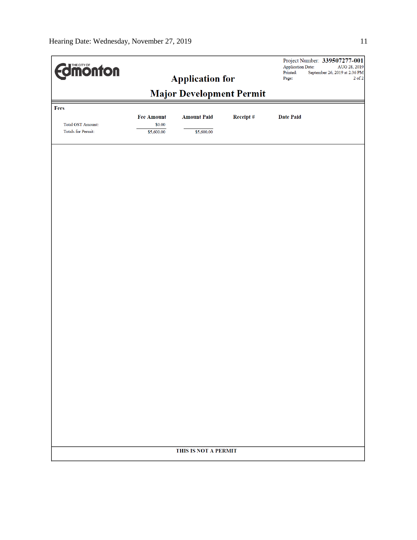| <b>Edimonton</b>                                          |                                           |                                  |           | Project Number: 339507277-001<br>Application Date:<br>AUG 28, 2019<br>Printed:<br>September 26, 2019 at 2:36 PM<br>$2$ of $2\,$<br>Page: |  |  |  |
|-----------------------------------------------------------|-------------------------------------------|----------------------------------|-----------|------------------------------------------------------------------------------------------------------------------------------------------|--|--|--|
| <b>Application for</b><br><b>Major Development Permit</b> |                                           |                                  |           |                                                                                                                                          |  |  |  |
| Fees<br><b>Total GST Amount:</b><br>Totals for Permit:    | <b>Fee Amount</b><br>\$0.00<br>\$5,600.00 | <b>Amount Paid</b><br>\$5,600.00 | Receipt # | <b>Date Paid</b>                                                                                                                         |  |  |  |
|                                                           |                                           |                                  |           |                                                                                                                                          |  |  |  |
|                                                           |                                           |                                  |           |                                                                                                                                          |  |  |  |
|                                                           |                                           |                                  |           |                                                                                                                                          |  |  |  |
|                                                           |                                           |                                  |           |                                                                                                                                          |  |  |  |
|                                                           |                                           |                                  |           |                                                                                                                                          |  |  |  |
|                                                           |                                           |                                  |           |                                                                                                                                          |  |  |  |
|                                                           |                                           | THIS IS NOT A PERMIT             |           |                                                                                                                                          |  |  |  |
|                                                           |                                           |                                  |           |                                                                                                                                          |  |  |  |